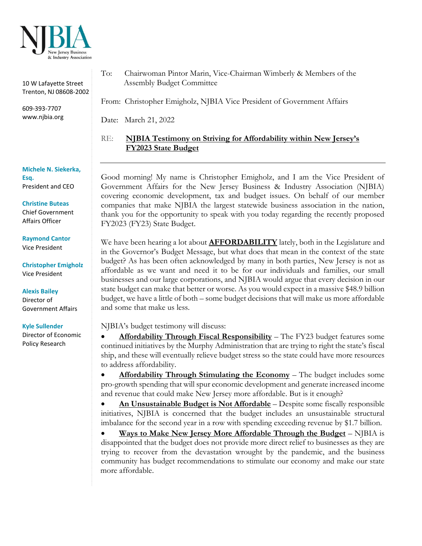

10 W Lafayette Street Trenton, NJ 08608-2002

609-393-7707 www.njbia.org

**Michele N. Siekerka, Esq.** President and CEO

**Christine Buteas** Chief Government Affairs Officer

**Raymond Cantor** Vice President

**Christopher Emigholz** Vice President

**Alexis Bailey** Director of Government Affairs

**Kyle Sullender**

Director of Economic Policy Research

To: Chairwoman Pintor Marin, Vice-Chairman Wimberly & Members of the Assembly Budget Committee

From: Christopher Emigholz, NJBIA Vice President of Government Affairs

Date: March 21, 2022

RE: **NJBIA Testimony on Striving for Affordability within New Jersey's FY2023 State Budget**

Good morning! My name is Christopher Emigholz, and I am the Vice President of Government Affairs for the New Jersey Business & Industry Association (NJBIA) covering economic development, tax and budget issues. On behalf of our member companies that make NJBIA the largest statewide business association in the nation, thank you for the opportunity to speak with you today regarding the recently proposed FY2023 (FY23) State Budget.

We have been hearing a lot about **AFFORDABILITY** lately, both in the Legislature and in the Governor's Budget Message, but what does that mean in the context of the state budget? As has been often acknowledged by many in both parties, New Jersey is not as affordable as we want and need it to be for our individuals and families, our small businesses and our large corporations, and NJBIA would argue that every decision in our state budget can make that better or worse. As you would expect in a massive \$48.9 billion budget, we have a little of both – some budget decisions that will make us more affordable and some that make us less.

NJBIA's budget testimony will discuss:

• **Affordability Through Fiscal Responsibility** – The FY23 budget features some continued initiatives by the Murphy Administration that are trying to right the state's fiscal ship, and these will eventually relieve budget stress so the state could have more resources to address affordability.

Affordability Through Stimulating the Economy - The budget includes some pro-growth spending that will spur economic development and generate increased income and revenue that could make New Jersey more affordable. But is it enough?

• **An Unsustainable Budget is Not Affordable** – Despite some fiscally responsible initiatives, NJBIA is concerned that the budget includes an unsustainable structural imbalance for the second year in a row with spending exceeding revenue by \$1.7 billion.

• **Ways to Make New Jersey More Affordable Through the Budget** – NJBIA is disappointed that the budget does not provide more direct relief to businesses as they are trying to recover from the devastation wrought by the pandemic, and the business community has budget recommendations to stimulate our economy and make our state more affordable.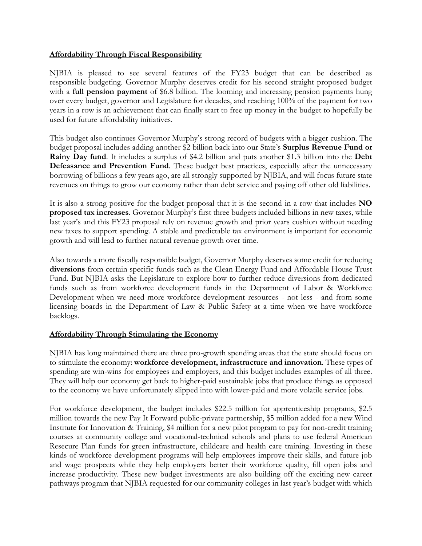### **Affordability Through Fiscal Responsibility**

NJBIA is pleased to see several features of the FY23 budget that can be described as responsible budgeting. Governor Murphy deserves credit for his second straight proposed budget with a **full pension payment** of \$6.8 billion. The looming and increasing pension payments hung over every budget, governor and Legislature for decades, and reaching 100% of the payment for two years in a row is an achievement that can finally start to free up money in the budget to hopefully be used for future affordability initiatives.

This budget also continues Governor Murphy's strong record of budgets with a bigger cushion. The budget proposal includes adding another \$2 billion back into our State's **Surplus Revenue Fund or Rainy Day fund**. It includes a surplus of \$4.2 billion and puts another \$1.3 billion into the **Debt Defeasance and Prevention Fund**. These budget best practices, especially after the unnecessary borrowing of billions a few years ago, are all strongly supported by NJBIA, and will focus future state revenues on things to grow our economy rather than debt service and paying off other old liabilities.

It is also a strong positive for the budget proposal that it is the second in a row that includes **NO proposed tax increases**. Governor Murphy's first three budgets included billions in new taxes, while last year's and this FY23 proposal rely on revenue growth and prior years cushion without needing new taxes to support spending. A stable and predictable tax environment is important for economic growth and will lead to further natural revenue growth over time.

Also towards a more fiscally responsible budget, Governor Murphy deserves some credit for reducing **diversions** from certain specific funds such as the Clean Energy Fund and Affordable House Trust Fund. But NJBIA asks the Legislature to explore how to further reduce diversions from dedicated funds such as from workforce development funds in the Department of Labor & Workforce Development when we need more workforce development resources - not less - and from some licensing boards in the Department of Law & Public Safety at a time when we have workforce backlogs.

### **Affordability Through Stimulating the Economy**

NJBIA has long maintained there are three pro-growth spending areas that the state should focus on to stimulate the economy: **workforce development, infrastructure and innovation**. These types of spending are win-wins for employees and employers, and this budget includes examples of all three. They will help our economy get back to higher-paid sustainable jobs that produce things as opposed to the economy we have unfortunately slipped into with lower-paid and more volatile service jobs.

For workforce development, the budget includes \$22.5 million for apprenticeship programs, \$2.5 million towards the new Pay It Forward public-private partnership, \$5 million added for a new Wind Institute for Innovation & Training, \$4 million for a new pilot program to pay for non-credit training courses at community college and vocational-technical schools and plans to use federal American Resecure Plan funds for green infrastructure, childcare and health care training. Investing in these kinds of workforce development programs will help employees improve their skills, and future job and wage prospects while they help employers better their workforce quality, fill open jobs and increase productivity. These new budget investments are also building off the exciting new career pathways program that NJBIA requested for our community colleges in last year's budget with which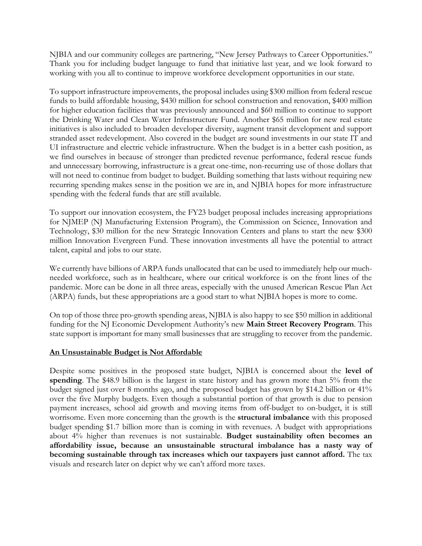NJBIA and our community colleges are partnering, "New Jersey Pathways to Career Opportunities." Thank you for including budget language to fund that initiative last year, and we look forward to working with you all to continue to improve workforce development opportunities in our state.

To support infrastructure improvements, the proposal includes using \$300 million from federal rescue funds to build affordable housing, \$430 million for school construction and renovation, \$400 million for higher education facilities that was previously announced and \$60 million to continue to support the Drinking Water and Clean Water Infrastructure Fund. Another \$65 million for new real estate initiatives is also included to broaden developer diversity, augment transit development and support stranded asset redevelopment. Also covered in the budget are sound investments in our state IT and UI infrastructure and electric vehicle infrastructure. When the budget is in a better cash position, as we find ourselves in because of stronger than predicted revenue performance, federal rescue funds and unnecessary borrowing, infrastructure is a great one-time, non-recurring use of those dollars that will not need to continue from budget to budget. Building something that lasts without requiring new recurring spending makes sense in the position we are in, and NJBIA hopes for more infrastructure spending with the federal funds that are still available.

To support our innovation ecosystem, the FY23 budget proposal includes increasing appropriations for NJMEP (NJ Manufacturing Extension Program), the Commission on Science, Innovation and Technology, \$30 million for the new Strategic Innovation Centers and plans to start the new \$300 million Innovation Evergreen Fund. These innovation investments all have the potential to attract talent, capital and jobs to our state.

We currently have billions of ARPA funds unallocated that can be used to immediately help our muchneeded workforce, such as in healthcare, where our critical workforce is on the front lines of the pandemic. More can be done in all three areas, especially with the unused American Rescue Plan Act (ARPA) funds, but these appropriations are a good start to what NJBIA hopes is more to come.

On top of those three pro-growth spending areas, NJBIA is also happy to see \$50 million in additional funding for the NJ Economic Development Authority's new **Main Street Recovery Program**. This state support is important for many small businesses that are struggling to recover from the pandemic.

### **An Unsustainable Budget is Not Affordable**

Despite some positives in the proposed state budget, NJBIA is concerned about the **level of spending**. The \$48.9 billion is the largest in state history and has grown more than 5% from the budget signed just over 8 months ago, and the proposed budget has grown by \$14.2 billion or 41% over the five Murphy budgets. Even though a substantial portion of that growth is due to pension payment increases, school aid growth and moving items from off-budget to on-budget, it is still worrisome. Even more concerning than the growth is the **structural imbalance** with this proposed budget spending \$1.7 billion more than is coming in with revenues. A budget with appropriations about 4% higher than revenues is not sustainable. **Budget sustainability often becomes an affordability issue, because an unsustainable structural imbalance has a nasty way of becoming sustainable through tax increases which our taxpayers just cannot afford.** The tax visuals and research later on depict why we can't afford more taxes.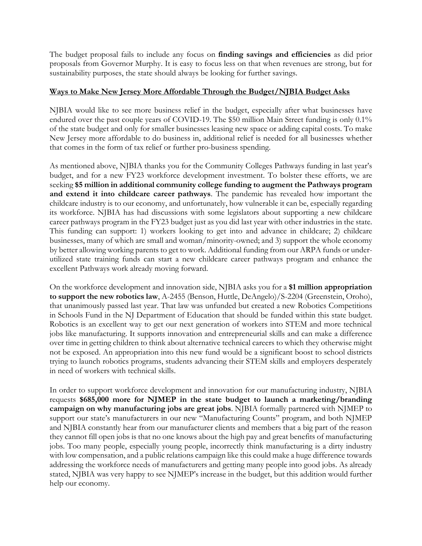The budget proposal fails to include any focus on **finding savings and efficiencies** as did prior proposals from Governor Murphy. It is easy to focus less on that when revenues are strong, but for sustainability purposes, the state should always be looking for further savings.

### **Ways to Make New Jersey More Affordable Through the Budget/NJBIA Budget Asks**

NJBIA would like to see more business relief in the budget, especially after what businesses have endured over the past couple years of COVID-19. The \$50 million Main Street funding is only 0.1% of the state budget and only for smaller businesses leasing new space or adding capital costs. To make New Jersey more affordable to do business in, additional relief is needed for all businesses whether that comes in the form of tax relief or further pro-business spending.

As mentioned above, NJBIA thanks you for the Community Colleges Pathways funding in last year's budget, and for a new FY23 workforce development investment. To bolster these efforts, we are seeking **\$5 million in additional community college funding to augment the Pathways program and extend it into childcare career pathways**. The pandemic has revealed how important the childcare industry is to our economy, and unfortunately, how vulnerable it can be, especially regarding its workforce. NJBIA has had discussions with some legislators about supporting a new childcare career pathways program in the FY23 budget just as you did last year with other industries in the state. This funding can support: 1) workers looking to get into and advance in childcare; 2) childcare businesses, many of which are small and woman/minority-owned; and 3) support the whole economy by better allowing working parents to get to work. Additional funding from our ARPA funds or underutilized state training funds can start a new childcare career pathways program and enhance the excellent Pathways work already moving forward.

On the workforce development and innovation side, NJBIA asks you for a **\$1 million appropriation to support the new robotics law**, A-2455 (Benson, Huttle, DeAngelo)/S-2204 (Greenstein, Oroho), that unanimously passed last year. That law was unfunded but created a new Robotics Competitions in Schools Fund in the NJ Department of Education that should be funded within this state budget. Robotics is an excellent way to get our next generation of workers into STEM and more technical jobs like manufacturing. It supports innovation and entrepreneurial skills and can make a difference over time in getting children to think about alternative technical careers to which they otherwise might not be exposed. An appropriation into this new fund would be a significant boost to school districts trying to launch robotics programs, students advancing their STEM skills and employers desperately in need of workers with technical skills.

In order to support workforce development and innovation for our manufacturing industry, NJBIA requests **\$685,000 more for NJMEP in the state budget to launch a marketing/branding campaign on why manufacturing jobs are great jobs**. NJBIA formally partnered with NJMEP to support our state's manufacturers in our new "Manufacturing Counts" program, and both NJMEP and NJBIA constantly hear from our manufacturer clients and members that a big part of the reason they cannot fill open jobs is that no one knows about the high pay and great benefits of manufacturing jobs. Too many people, especially young people, incorrectly think manufacturing is a dirty industry with low compensation, and a public relations campaign like this could make a huge difference towards addressing the workforce needs of manufacturers and getting many people into good jobs. As already stated, NJBIA was very happy to see NJMEP's increase in the budget, but this addition would further help our economy.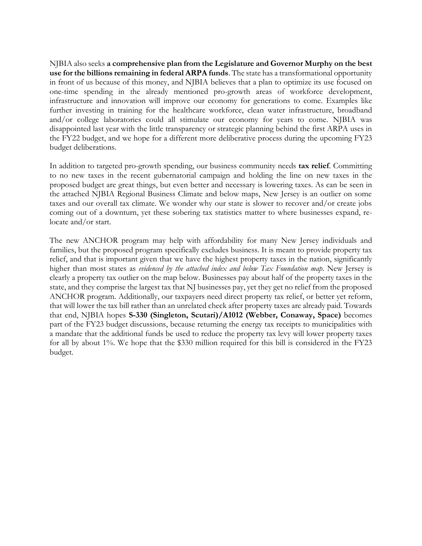NJBIA also seeks **a comprehensive plan from the Legislature and Governor Murphy on the best use for the billions remaining in federal ARPA funds**. The state has a transformational opportunity in front of us because of this money, and NJBIA believes that a plan to optimize its use focused on one-time spending in the already mentioned pro-growth areas of workforce development, infrastructure and innovation will improve our economy for generations to come. Examples like further investing in training for the healthcare workforce, clean water infrastructure, broadband and/or college laboratories could all stimulate our economy for years to come. NJBIA was disappointed last year with the little transparency or strategic planning behind the first ARPA uses in the FY22 budget, and we hope for a different more deliberative process during the upcoming FY23 budget deliberations.

In addition to targeted pro-growth spending, our business community needs **tax relief**. Committing to no new taxes in the recent gubernatorial campaign and holding the line on new taxes in the proposed budget are great things, but even better and necessary is lowering taxes. As can be seen in the attached NJBIA Regional Business Climate and below maps, New Jersey is an outlier on some taxes and our overall tax climate. We wonder why our state is slower to recover and/or create jobs coming out of a downturn, yet these sobering tax statistics matter to where businesses expand, relocate and/or start.

The new ANCHOR program may help with affordability for many New Jersey individuals and families, but the proposed program specifically excludes business. It is meant to provide property tax relief, and that is important given that we have the highest property taxes in the nation, significantly higher than most states as *evidenced by the attached index and below Tax Foundation map*. New Jersey is clearly a property tax outlier on the map below. Businesses pay about half of the property taxes in the state, and they comprise the largest tax that NJ businesses pay, yet they get no relief from the proposed ANCHOR program. Additionally, our taxpayers need direct property tax relief, or better yet reform, that will lower the tax bill rather than an unrelated check after property taxes are already paid. Towards that end, NJBIA hopes **S-330 (Singleton, Scutari)/A1012 (Webber, Conaway, Space)** becomes part of the FY23 budget discussions, because returning the energy tax receipts to municipalities with a mandate that the additional funds be used to reduce the property tax levy will lower property taxes for all by about 1%. We hope that the \$330 million required for this bill is considered in the FY23 budget.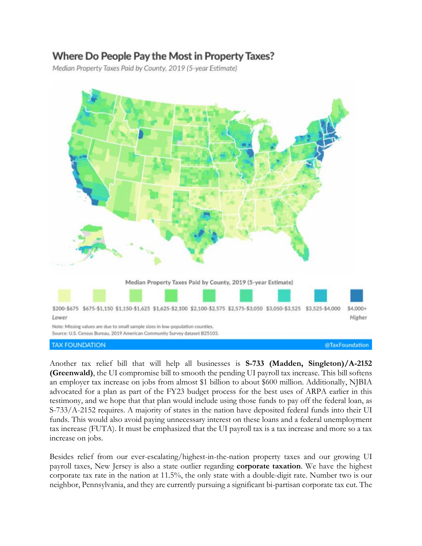# Where Do People Pay the Most in Property Taxes?

Median Property Taxes Paid by County, 2019 (5-year Estimate)



Another tax relief bill that will help all businesses is **S-733 (Madden, Singleton)/A-2152 (Greenwald)**, the UI compromise bill to smooth the pending UI payroll tax increase. This bill softens an employer tax increase on jobs from almost \$1 billion to about \$600 million. Additionally, NJBIA advocated for a plan as part of the FY23 budget process for the best uses of ARPA earlier in this testimony, and we hope that that plan would include using those funds to pay off the federal loan, as S-733/A-2152 requires. A majority of states in the nation have deposited federal funds into their UI funds. This would also avoid paying unnecessary interest on these loans and a federal unemployment tax increase (FUTA). It must be emphasized that the UI payroll tax is a tax increase and more so a tax increase on jobs.

Besides relief from our ever-escalating/highest-in-the-nation property taxes and our growing UI payroll taxes, New Jersey is also a state outlier regarding **corporate taxation**. We have the highest corporate tax rate in the nation at 11.5%, the only state with a double-digit rate. Number two is our neighbor, Pennsylvania, and they are currently pursuing a significant bi-partisan corporate tax cut. The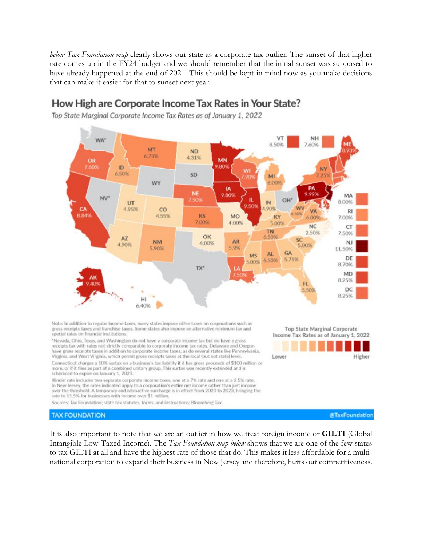below Tax Foundation map clearly shows our state as a corporate tax outlier. The sunset of that higher rate comes up in the FY24 budget and we should remember that the initial sunset was supposed to have already happened at the end of 2021. This should be kept in mind now as you make decisions that can make it easier for that to sunset next year.

# How High are Corporate Income Tax Rates in Your State?

Top State Marginal Corporate Income Tax Rates as of January 1, 2022



Note: In addition to regular income taxes, many states impose other taxes on corporations such as gross receipts taxes and franchise taxes. Some states also impose an alternative minimum tax and special rates on financial institutions.

\*Nevada, Ohio, Texas, and Washington do not have a corporate income tax but do have a gross receipts tax with rates not strictly comparable to corporate income tax rates. Delaware and Oregon have gross receipts taxes in addition to corporate income taxes, as do several states like Pennsylvania, Virginia, and West Virginia, which permit gross receipts taxes at the local (but not state) level.

Connecticut charges a 10% surtax on a business's tax liability if it has gross proceeds of \$100 million or more, or if it files as part of a combined unitary group. This surtax was recently extended and is scheduled to expire on January 1, 2023.

Illinois' rate includes two separate corporate income taxes, one at a 7% rate and one at a 2.5% rate. In New Jersey, the rates indicated apply to a corporation's entire net income rather than just income over the threshold. A temporary and retroactive surcharge is in effect from 2020 to 2023, bringing the rate to 11.5% for businesses with income over \$1 million.

Sources: Tax Foundation; state tax statutes, forms, and instructions; Bloomberg Tax.

**TAX FOUNDATION** 

It is also important to note that we are an outlier in how we treat foreign income or **GILTI** (Global Intangible Low-Taxed Income). The Tax Foundation map below shows that we are one of the few states to tax GILTI at all and have the highest rate of those that do. This makes it less affordable for a multinational corporation to expand their business in New Jersey and therefore, hurts our competitiveness.

Top State Marginal Corporate Income Tax Rates as of January 1, 2022



@TaxFoundation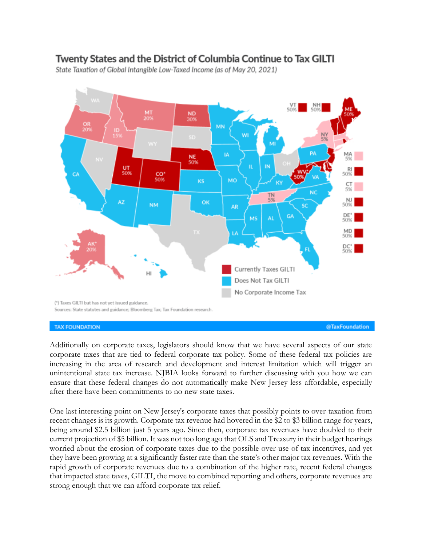# Twenty States and the District of Columbia Continue to Tax GILTI

State Taxation of Global Intangible Low-Taxed Income (as of May 20, 2021)



**TAX FOUNDATION** 

Additionally on corporate taxes, legislators should know that we have several aspects of our state corporate taxes that are tied to federal corporate tax policy. Some of these federal tax policies are increasing in the area of research and development and interest limitation which will trigger an unintentional state tax increase. NJBIA looks forward to further discussing with you how we can ensure that these federal changes do not automatically make New Jersey less affordable, especially after there have been commitments to no new state taxes.

One last interesting point on New Jersey's corporate taxes that possibly points to over-taxation from recent changes is its growth. Corporate tax revenue had hovered in the \$2 to \$3 billion range for years, being around \$2.5 billion just 5 years ago. Since then, corporate tax revenues have doubled to their current projection of \$5 billion. It was not too long ago that OLS and Treasury in their budget hearings worried about the erosion of corporate taxes due to the possible over-use of tax incentives, and yet they have been growing at a significantly faster rate than the state's other major tax revenues. With the rapid growth of corporate revenues due to a combination of the higher rate, recent federal changes that impacted state taxes, GILTI, the move to combined reporting and others, corporate revenues are strong enough that we can afford corporate tax relief.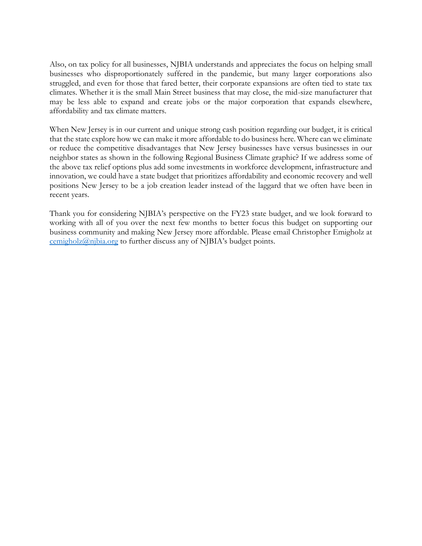Also, on tax policy for all businesses, NJBIA understands and appreciates the focus on helping small businesses who disproportionately suffered in the pandemic, but many larger corporations also struggled, and even for those that fared better, their corporate expansions are often tied to state tax climates. Whether it is the small Main Street business that may close, the mid-size manufacturer that may be less able to expand and create jobs or the major corporation that expands elsewhere, affordability and tax climate matters.

When New Jersey is in our current and unique strong cash position regarding our budget, it is critical that the state explore how we can make it more affordable to do business here. Where can we eliminate or reduce the competitive disadvantages that New Jersey businesses have versus businesses in our neighbor states as shown in the following Regional Business Climate graphic? If we address some of the above tax relief options plus add some investments in workforce development, infrastructure and innovation, we could have a state budget that prioritizes affordability and economic recovery and well positions New Jersey to be a job creation leader instead of the laggard that we often have been in recent years.

Thank you for considering NJBIA's perspective on the FY23 state budget, and we look forward to working with all of you over the next few months to better focus this budget on supporting our business community and making New Jersey more affordable. Please email Christopher Emigholz at [cemigholz@njbia.org](mailto:cemigholz@njbia.org) to further discuss any of NJBIA's budget points.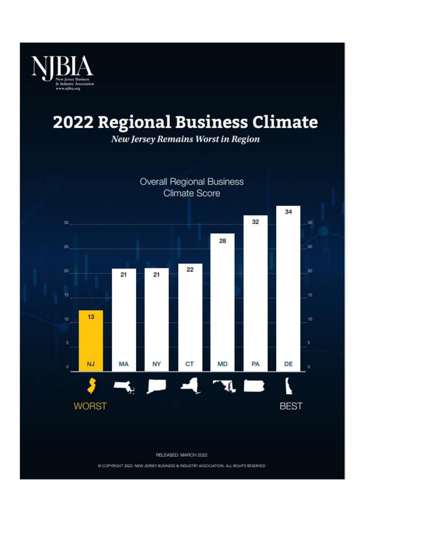

# **2022 Regional Business Climate**

New Jersey Remains Worst in Region